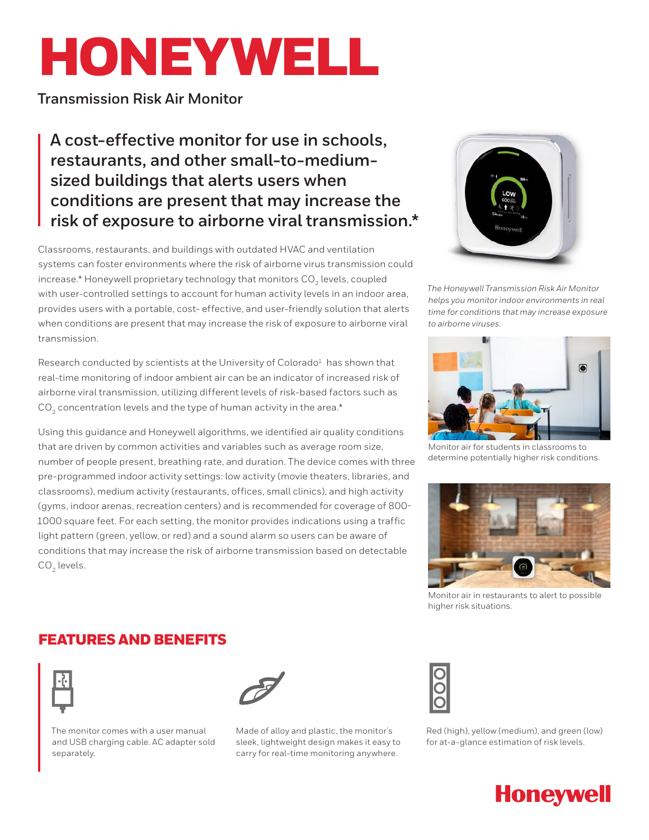# HONEYWELL

**Transmission Risk Air Monitor**

**A cost-effective monitor for use in schools, restaurants, and other small-to-mediumsized buildings that alerts users when conditions are present that may increase the risk of exposure to airborne viral transmission.\***

Classrooms, restaurants, and buildings with outdated HVAC and ventilation systems can foster environments where the risk of airborne virus transmission could increase.\* Honeywell proprietary technology that monitors CO<sub>2</sub> levels, coupled with user-controlled settings to account for human activity levels in an indoor area, provides users with a portable, cost- effective, and user-friendly solution that alerts when conditions are present that may increase the risk of exposure to airborne viral transmission.

Research conducted by scientists at the University of Colorado<sup>1</sup> has shown that real-time monitoring of indoor ambient air can be an indicator of increased risk of airborne viral transmission, utilizing different levels of risk-based factors such as  $CO<sub>2</sub>$  concentration levels and the type of human activity in the area.\*

Using this guidance and Honeywell algorithms, we identified air quality conditions that are driven by common activities and variables such as average room size, number of people present, breathing rate, and duration. The device comes with three pre-programmed indoor activity settings: low activity (movie theaters, libraries, and classrooms), medium activity (restaurants, offices, small clinics), and high activity (gyms, indoor arenas, recreation centers) and is recommended for coverage of 800- 1000 square feet. For each setting, the monitor provides indications using a traffic light pattern (green, yellow, or red) and a sound alarm so users can be aware of conditions that may increase the risk of airborne transmission based on detectable CO<sub>2</sub> levels.



*The Honeywell Transmission Risk Air Monitor helps you monitor indoor environments in real time for conditions that may increase exposure to airborne viruses.*



Monitor air for students in classrooms to determine potentially higher risk conditions.



Monitor air in restaurants to alert to possible higher risk situations.

# FEATURES AND BENEFITS







Made of alloy and plastic, the monitor's sleek, lightweight design makes it easy to carry for real-time monitoring anywhere.



Red (high), yellow (medium), and green (low) for at-a-glance estimation of risk levels.

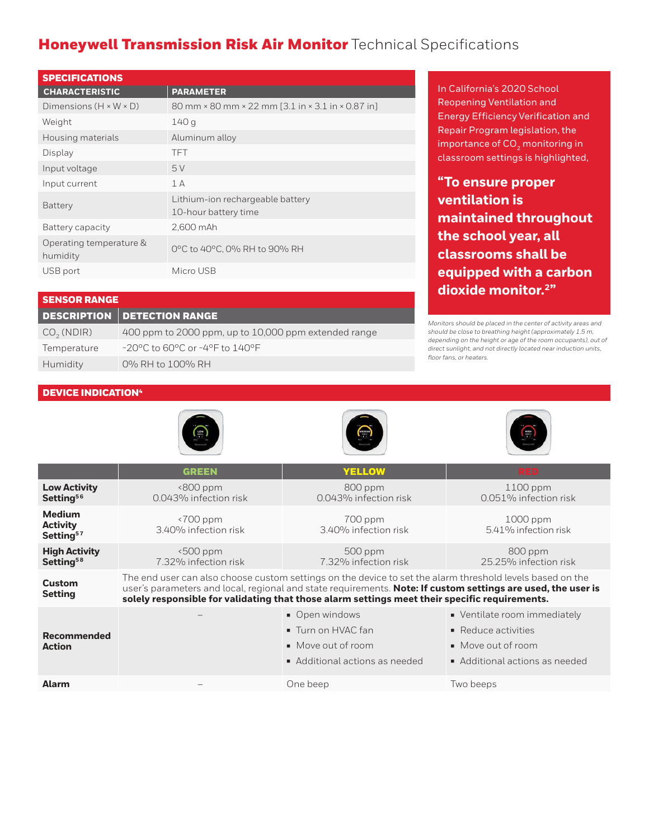# Honeywell Transmission Risk Air Monitor Technical Specifications

| <b>SPECIFICATIONS</b>               |                                                          |  |  |  |
|-------------------------------------|----------------------------------------------------------|--|--|--|
| <b>CHARACTERISTIC</b>               | <b>PARAMETER</b>                                         |  |  |  |
| Dimensions $(H \times W \times D)$  | 80 mm × 80 mm × 22 mm [3.1 in × 3.1 in × 0.87 in]        |  |  |  |
| Weight                              | 140 g                                                    |  |  |  |
| Housing materials                   | Aluminum alloy                                           |  |  |  |
| Display                             | <b>TFT</b>                                               |  |  |  |
| Input voltage                       | 5V                                                       |  |  |  |
| Input current                       | 1A                                                       |  |  |  |
| Battery                             | Lithium-ion rechargeable battery<br>10-hour battery time |  |  |  |
| Battery capacity                    | 2,600 mAh                                                |  |  |  |
| Operating temperature &<br>humidity | 0°C to 40°C, 0% RH to 90% RH                             |  |  |  |
| USB port                            | Micro USB                                                |  |  |  |

In California's 2020 School Reopening Ventilation and Energy Efficiency Verification and Repair Program legislation, the importance of  $CO<sub>2</sub>$  monitoring in classroom settings is highlighted,

**"To ensure proper ventilation is maintained throughout the school year, all classrooms shall be equipped with a carbon dioxide monitor.2"**

| <b>SENSOR RANGE</b>    |                                                      |  |  |  |
|------------------------|------------------------------------------------------|--|--|--|
|                        | <b>DESCRIPTION DETECTION RANGE</b>                   |  |  |  |
| CO <sub>2</sub> (NDIR) | 400 ppm to 2000 ppm, up to 10,000 ppm extended range |  |  |  |
| Temperature            | $-20^{\circ}$ C to 60°C or -4°F to 140°F             |  |  |  |
| Humidity               | 0% RH to 100% RH                                     |  |  |  |
|                        |                                                      |  |  |  |

*Monitors should be placed in the center of activity areas and should be close to breathing height (approximately 1.5 m, depending on the height or age of the room occupants), out of direct sunlight, and not directly located near induction units, floor fans, or heaters.* 

# DEVICE INDICATION<sup>4</sup>







|                                                           | <b>GREEN</b>                                                                                                                                                                                                                                                                                                               | <b>YELLOW</b>                                                                                                          | <b>RED</b>                                                                                                               |  |  |  |
|-----------------------------------------------------------|----------------------------------------------------------------------------------------------------------------------------------------------------------------------------------------------------------------------------------------------------------------------------------------------------------------------------|------------------------------------------------------------------------------------------------------------------------|--------------------------------------------------------------------------------------------------------------------------|--|--|--|
| <b>Low Activity</b><br>Setting <sup>56</sup>              | $\leq$ 800 ppm<br>0.043% infection risk                                                                                                                                                                                                                                                                                    | 800 ppm<br>0.043% infection risk                                                                                       | $1100$ ppm<br>0.051% infection risk                                                                                      |  |  |  |
| <b>Medium</b><br><b>Activity</b><br>Setting <sup>57</sup> | $\langle 700 \text{ ppm}$<br>3.40% infection risk                                                                                                                                                                                                                                                                          | 700 ppm<br>3.40% infection risk                                                                                        | 1000 ppm<br>5.41% infection risk                                                                                         |  |  |  |
| <b>High Activity</b><br>Setting <sup>58</sup>             | $500$ ppm<br>7.32% infection risk                                                                                                                                                                                                                                                                                          | 500 ppm<br>7.32% infection risk                                                                                        | 800 ppm<br>25.25% infection risk                                                                                         |  |  |  |
| <b>Custom</b><br><b>Setting</b>                           | The end user can also choose custom settings on the device to set the alarm threshold levels based on the<br>user's parameters and local, regional and state requirements. Note: If custom settings are used, the user is<br>solely responsible for validating that those alarm settings meet their specific requirements. |                                                                                                                        |                                                                                                                          |  |  |  |
| <b>Recommended</b><br><b>Action</b>                       |                                                                                                                                                                                                                                                                                                                            | • Open windows<br>$\blacksquare$ Turn on HVAC fan<br>$\blacksquare$ Move out of room<br>• Additional actions as needed | • Ventilate room immediately<br>$\blacksquare$ Reduce activities<br>• Move out of room<br>• Additional actions as needed |  |  |  |
| <b>Alarm</b>                                              |                                                                                                                                                                                                                                                                                                                            | One beep                                                                                                               | Two beeps                                                                                                                |  |  |  |